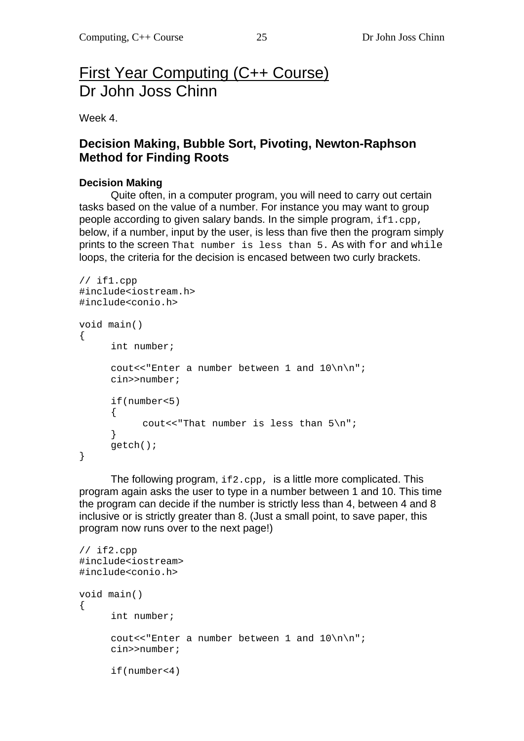# First Year Computing (C++ Course) Dr John Joss Chinn

Week 4.

# **Decision Making, Bubble Sort, Pivoting, Newton-Raphson Method for Finding Roots**

### **Decision Making**

 Quite often, in a computer program, you will need to carry out certain tasks based on the value of a number. For instance you may want to group people according to given salary bands. In the simple program, if 1, cpp, below, if a number, input by the user, is less than five then the program simply prints to the screen That number is less than 5. As with for and while loops, the criteria for the decision is encased between two curly brackets.

```
// if1.cpp 
#include<iostream.h> 
#include<conio.h> 
void main() 
{ 
       int number; 
       cout<<"Enter a number between 1 and 10\n\n"; 
       cin>>number; 
       if(number<5) 
       { 
            cout<<"That number is less than 5\n";
       } 
       getch(); 
}
```
The following program,  $if 2.\text{cpp}$ , is a little more complicated. This program again asks the user to type in a number between 1 and 10. This time the program can decide if the number is strictly less than 4, between 4 and 8 inclusive or is strictly greater than 8. (Just a small point, to save paper, this program now runs over to the next page!)

```
// if2.cpp 
#include<iostream> 
#include<conio.h> 
void main() 
{ 
       int number; 
      cout<<"Enter a number between 1 and 10\n\times";
       cin>>number; 
       if(number<4)
```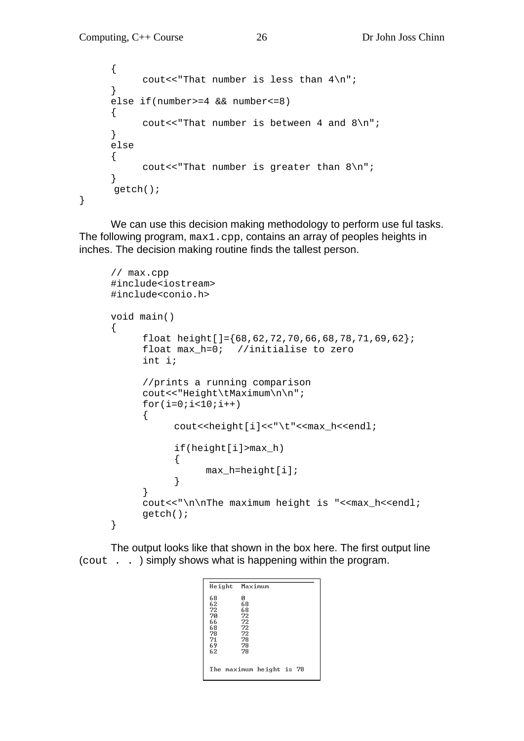```
 { 
            cout<<"That number is less than 4\pi";
       } 
       else if(number>=4 && number<=8) 
       { 
            cout<<"That number is between 4 and 8\";
       } 
       else 
       { 
             cout<<"That number is greater than 8\n"; 
       } 
       getch(); 
}
```
We can use this decision making methodology to perform use ful tasks. The following program, max1.cpp, contains an array of peoples heights in inches. The decision making routine finds the tallest person.

```
// max.cpp 
#include<iostream> 
#include<conio.h> 
void main() 
{ 
     float height [] = {68,62,72,70,66,68,78,71,69,62};float max h=0; //initialise to zero
      int i; 
      //prints a running comparison 
      cout<<"Height\tMaximum\n\n"; 
     for(i=0;i<10;i++)\{cout<<height[i]<<"\t"<<max_h<<endl;
            if(height[i]>max_h) 
\{max_h=height[i];<br>}
 } 
      } 
     cout<<"\n\nThe maximum height is "<<max_h<<endl;
      getch(); 
}
```
The output looks like that shown in the box here. The first output line (cout . . ) simply shows what is happening within the program.

|                                                          | Height Maximum                                          |  |  |
|----------------------------------------------------------|---------------------------------------------------------|--|--|
| 68<br>62<br>72<br>70<br>66<br>68<br>78<br>71<br>69<br>62 | ø<br>68<br>68<br>72<br>72<br>72<br>72<br>78<br>78<br>78 |  |  |
|                                                          | The maximum height is 78                                |  |  |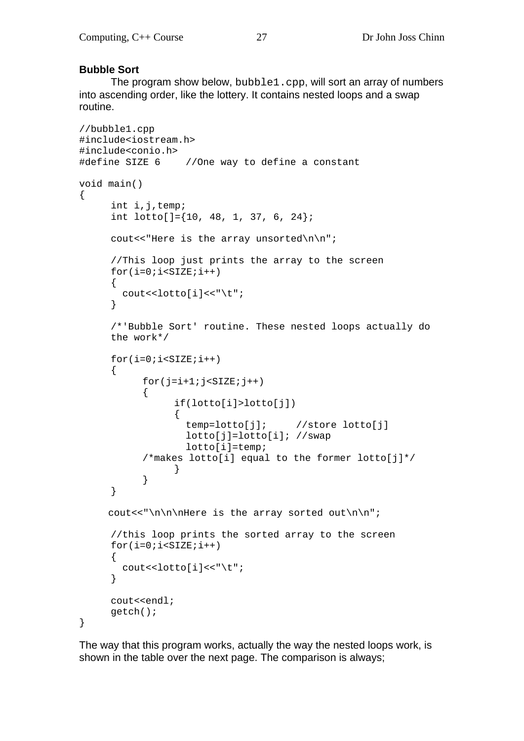#### **Bubble Sort**

 The program show below, bubble1.cpp, will sort an array of numbers into ascending order, like the lottery. It contains nested loops and a swap routine.

```
//bubble1.cpp 
#include<iostream.h> 
#include<conio.h> 
#define SIZE 6 //One way to define a constant 
void main() 
\{ int i,j,temp; 
     int lotto[]=\{10, 48, 1, 37, 6, 24\};
     cout<<"Here is the array unsorted\n\n";
      //This loop just prints the array to the screen 
     for(i=0; i < SLZE;i++) { 
        cout<<lotto[i]<<"\t"; 
      } 
      /*'Bubble Sort' routine. These nested loops actually do 
     the work*/ 
     for(i=0; i<SLZE;i++) { 
           for(i=i+1; j<SLZE; j++) { 
                 if(lotto[i]>lotto[j]) 
{
                   temp=lotto[j]; //store lotto[j] 
                   lotto[j]=lotto[i]; //swap 
                   lotto[i]=temp; 
           /*makes lotto[i] equal to the former lotto[j]*/ 
 } 
 } 
      } 
     cout<<"\n\n\nHere is the array sorted out\n\n";
      //this loop prints the sorted array to the screen 
     for(i=0;i<SIZE;i++) { 
        cout<<lotto[i]<<"\t"; 
      } 
      cout<<endl; 
      getch(); 
}
```
The way that this program works, actually the way the nested loops work, is shown in the table over the next page. The comparison is always;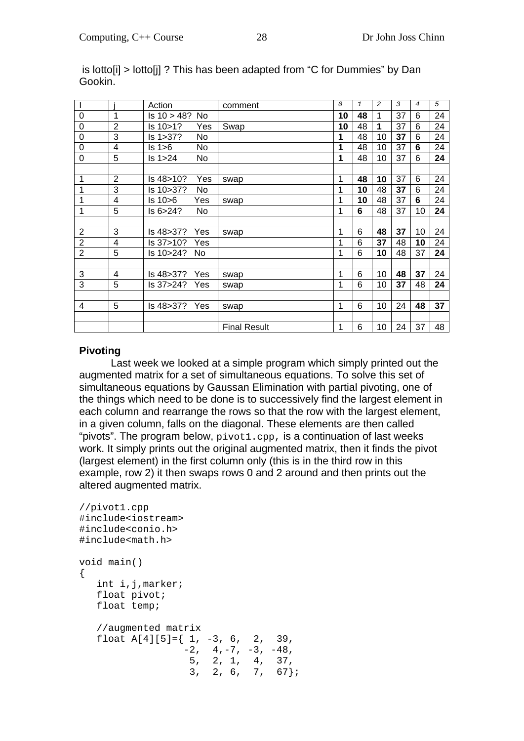|                |                | Action             | comment             | 0  | $\mathbf{1}$ | 2  | 3  | 4  | 5  |
|----------------|----------------|--------------------|---------------------|----|--------------|----|----|----|----|
| 0              | 1              | Is 10 > 48?<br>No. |                     | 10 | 48           | 1  | 37 | 6  | 24 |
| 0              | $\overline{2}$ | ls 10>1?<br>Yes    | Swap                | 10 | 48           | 1  | 37 | 6  | 24 |
| 0              | 3              | ls 1>37?<br>No.    |                     | 1  | 48           | 10 | 37 | 6  | 24 |
| 0              | 4              | Is 1 > 6<br>No.    |                     | 1  | 48           | 10 | 37 | 6  | 24 |
| 0              | 5              | Is 1 > 24<br>No.   |                     | 1  | 48           | 10 | 37 | 6  | 24 |
|                |                |                    |                     |    |              |    |    |    |    |
| 1              | $\overline{2}$ | ls 48>10?<br>Yes   | swap                | 1  | 48           | 10 | 37 | 6  | 24 |
| 1              | 3              | ls 10>37?<br>No    |                     | 1  | 10           | 48 | 37 | 6  | 24 |
| 1              | 4              | ls 10>6<br>Yes     | swap                | 1  | 10           | 48 | 37 | 6  | 24 |
| 1              | 5              | ls 6>24?<br>No.    |                     | 1  | 6            | 48 | 37 | 10 | 24 |
|                |                |                    |                     |    |              |    |    |    |    |
| $\overline{2}$ | 3              | ls 48>37?<br>Yes   | swap                | 1  | 6            | 48 | 37 | 10 | 24 |
| $\overline{2}$ | 4              | ls 37>10?<br>Yes   |                     | 1  | 6            | 37 | 48 | 10 | 24 |
| $\overline{2}$ | 5              | ls 10>24?<br>No.   |                     | 1  | 6            | 10 | 48 | 37 | 24 |
|                |                |                    |                     |    |              |    |    |    |    |
| 3              | $\overline{4}$ | ls 48>37?<br>Yes   | swap                | 1  | 6            | 10 | 48 | 37 | 24 |
| 3              | 5              | ls 37>24?<br>Yes   | swap                | 1  | 6            | 10 | 37 | 48 | 24 |
|                |                |                    |                     |    |              |    |    |    |    |
| 4              | 5              | ls 48>37?<br>Yes   | swap                | 1  | 6            | 10 | 24 | 48 | 37 |
|                |                |                    |                     |    |              |    |    |    |    |
|                |                |                    | <b>Final Result</b> | 1  | 6            | 10 | 24 | 37 | 48 |

 is lotto[i] > lotto[j] ? This has been adapted from "C for Dummies" by Dan Gookin.

#### **Pivoting**

 Last week we looked at a simple program which simply printed out the augmented matrix for a set of simultaneous equations. To solve this set of simultaneous equations by Gaussan Elimination with partial pivoting, one of the things which need to be done is to successively find the largest element in each column and rearrange the rows so that the row with the largest element, in a given column, falls on the diagonal. These elements are then called "pivots". The program below,  $pivot1.cpp$ , is a continuation of last weeks work. It simply prints out the original augmented matrix, then it finds the pivot (largest element) in the first column only (this is in the third row in this example, row 2) it then swaps rows 0 and 2 around and then prints out the altered augmented matrix.

```
//pivot1.cpp 
#include<iostream> 
#include<conio.h> 
#include<math.h> 
void main() 
{ 
   int i,j,marker; 
   float pivot; 
   float temp; 
   //augmented matrix 
  float A[4][5]=\{ 1, -3, 6, 2, 39,-2, 4, -7, -3, -48, 5, 2, 1, 4, 37, 
3, 2, 6, 7, 67
```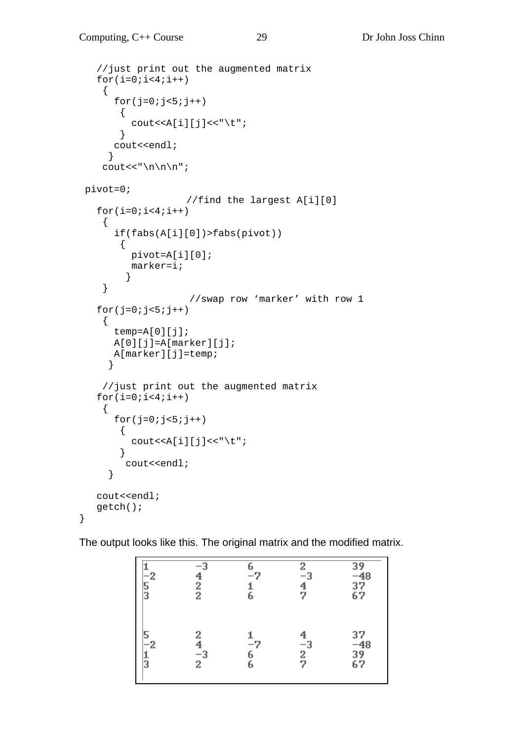}

```
 //just print out the augmented matrix 
   for(i=0; i<4; i++) { 
      for(j=0; j<5; j++)\{cout <<<<br/>A[i][j] << "\t";
 } 
       cout<<endl; 
      } 
    cout << "\n\lambda";
 pivot=0; 
                      //find the largest A[i][0] 
   for(i=0;i<4;i++) { 
       if(fabs(A[i][0])>fabs(pivot)) 
        { 
           pivot=A[i][0]; 
           marker=i; 
          } 
     } 
                      //swap row 'marker' with row 1 
   for(j=0;j<5;j++)
     { 
       temp=A[0][j]; 
       A[0][j]=A[marker][j]; 
       A[marker][j]=temp; 
      } 
     //just print out the augmented matrix 
   for(i=0; i<4; i++) { 
      for(j=0; j<5; j++) { 
          cout << A[i][j] << "\t";
         } 
         cout<<endl; 
      } 
    cout<<endl; 
    getch();
```
The output looks like this. The original matrix and the modified matrix.

| $-2$<br>3 | $-2$<br>$\frac{2}{2}$ | $-7$<br>6      | $\frac{2}{4}$<br>47          | $\frac{39}{-48}$<br>$\frac{37}{67}$ |
|-----------|-----------------------|----------------|------------------------------|-------------------------------------|
| -2<br>3   | 2<br>$\frac{-3}{2}$   | $-7$<br>6<br>6 | $\frac{4}{2}$<br>2<br>2<br>2 | 37<br>-48<br>39<br>67               |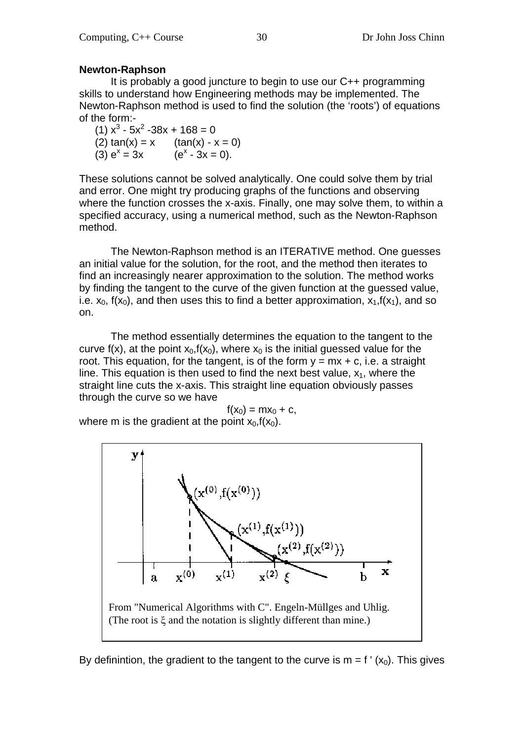#### **Newton-Raphson**

 It is probably a good juncture to begin to use our C++ programming skills to understand how Engineering methods may be implemented. The Newton-Raphson method is used to find the solution (the 'roots') of equations of the form:-

 $(1) x<sup>3</sup> - 5x<sup>2</sup> - 38x + 168 = 0$  $(2) \tan(x) = x$  (tan(x) - x = 0)  $(3) e^{x} = 3x$   $(e^{x})$  $(e^x - 3x = 0)$ .

These solutions cannot be solved analytically. One could solve them by trial and error. One might try producing graphs of the functions and observing where the function crosses the x-axis. Finally, one may solve them, to within a specified accuracy, using a numerical method, such as the Newton-Raphson method.

 The Newton-Raphson method is an ITERATIVE method. One guesses an initial value for the solution, for the root, and the method then iterates to find an increasingly nearer approximation to the solution. The method works by finding the tangent to the curve of the given function at the guessed value, i.e.  $x_0$ ,  $f(x_0)$ , and then uses this to find a better approximation,  $x_1,f(x_1)$ , and so on.

 The method essentially determines the equation to the tangent to the curve f(x), at the point  $x_0$ ,  $f(x_0)$ , where  $x_0$  is the initial guessed value for the root. This equation, for the tangent, is of the form  $y = mx + c$ , i.e. a straight line. This equation is then used to find the next best value,  $x_1$ , where the straight line cuts the x-axis. This straight line equation obviously passes through the curve so we have

 $f(x_0) = mx_0 + c$ , where m is the gradient at the point  $x_0$ ,  $f(x_0)$ .



By definintion, the gradient to the tangent to the curve is  $m = f'(x_0)$ . This gives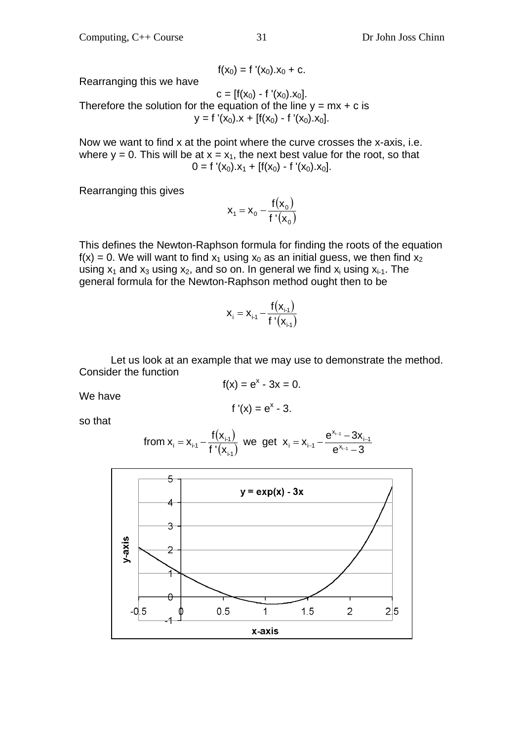$$
f(x_0) = f'(x_0).x_0 + c.
$$

Rearranging this we have

 $c = [f(x_0) - f'(x_0).x_0].$ Therefore the solution for the equation of the line  $y = mx + c$  is  $y = f'(x_0) \cdot x + [f(x_0) - f'(x_0) \cdot x_0].$ 

Now we want to find x at the point where the curve crosses the x-axis, i.e. where  $y = 0$ . This will be at  $x = x_1$ , the next best value for the root, so that  $0 = f'(x_0) \cdot x_1 + [f(x_0) - f'(x_0) \cdot x_0].$ 

Rearranging this gives

$$
\mathbf{x}_1 = \mathbf{x}_0 - \frac{\mathbf{f}(\mathbf{x}_0)}{\mathbf{f}'(\mathbf{x}_0)}
$$

This defines the Newton-Raphson formula for finding the roots of the equation  $f(x) = 0$ . We will want to find  $x_1$  using  $x_0$  as an initial guess, we then find  $x_2$ using  $x_1$  and  $x_3$  using  $x_2$ , and so on. In general we find  $x_i$  using  $x_{i-1}$ . The general formula for the Newton-Raphson method ought then to be

$$
x_{i} = x_{i \cdot 1} - \frac{f(x_{i \cdot 1})}{f'(x_{i \cdot 1})}
$$

 Let us look at an example that we may use to demonstrate the method. Consider the function  $f(x) = e^{x} - 3x = 0.$ 

We have

$$
f'(x) = e^x - 3.
$$

so that

from 
$$
x_i = x_{i-1} - \frac{f(x_{i-1})}{f'(x_{i-1})}
$$
 we get  $x_i = x_{i-1} - \frac{e^{x_{i-1}} - 3x_{i-1}}{e^{x_{i-1}} - 3}$ 

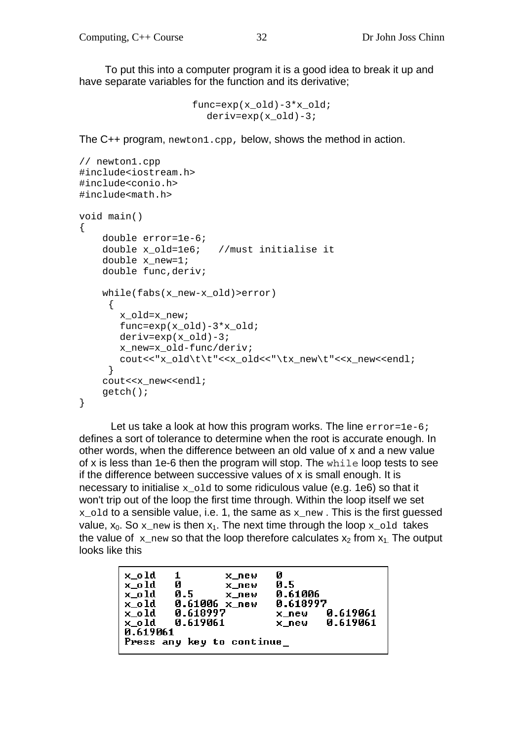To put this into a computer program it is a good idea to break it up and have separate variables for the function and its derivative;

```
func=exp(x_old)-3*x_old; 
  derive=exp(x_old)-3;
```
The C++ program, newton1.cpp, below, shows the method in action.

```
// newton1.cpp 
#include<iostream.h> 
#include<conio.h> 
#include<math.h> 
void main() 
{ 
     double error=1e-6; 
     double x_old=1e6; //must initialise it 
     double x_new=1; 
     double func,deriv; 
     while(fabs(x_new-x_old)>error) 
      { 
        x_old=x_new; 
        func=exp(x_old)-3*x_old; 
        deriv=exp(x_old)-3; 
        x_new=x_old-func/deriv; 
        cout<<"x_old\t\t"<<x_old<<"\tx_new\t"<<x_new<<endl; 
      } 
     cout<<x_new<<endl; 
     getch(); 
}
```
Let us take a look at how this program works. The line error=1e-6; defines a sort of tolerance to determine when the root is accurate enough. In other words, when the difference between an old value of x and a new value of x is less than 1e-6 then the program will stop. The while loop tests to see if the difference between successive values of x is small enough. It is necessary to initialise  $x_0$  and to some ridiculous value (e.g. 1e6) so that it won't trip out of the loop the first time through. Within the loop itself we set  $x_{\text{old}}$  to a sensible value, i.e. 1, the same as  $x_{\text{new}}$ . This is the first guessed value,  $x_0$ . So x new is then  $x_1$ . The next time through the loop x old takes the value of x new so that the loop therefore calculates  $x_2$  from  $x_1$ . The output looks like this

```
x_old
        \mathbf{1}Й
                 x_new
                          0.5x old
        Й
                 x new
        0.50.61006
x old
                 x_new
        0.61006 x_{new}0.618997
x_old
x_old
        0.618997
                                   0.619061
                          x_new
x_0ld
        0.619061
                          x_new
                                   0.619061
0.619061
Press any key to continue_
```